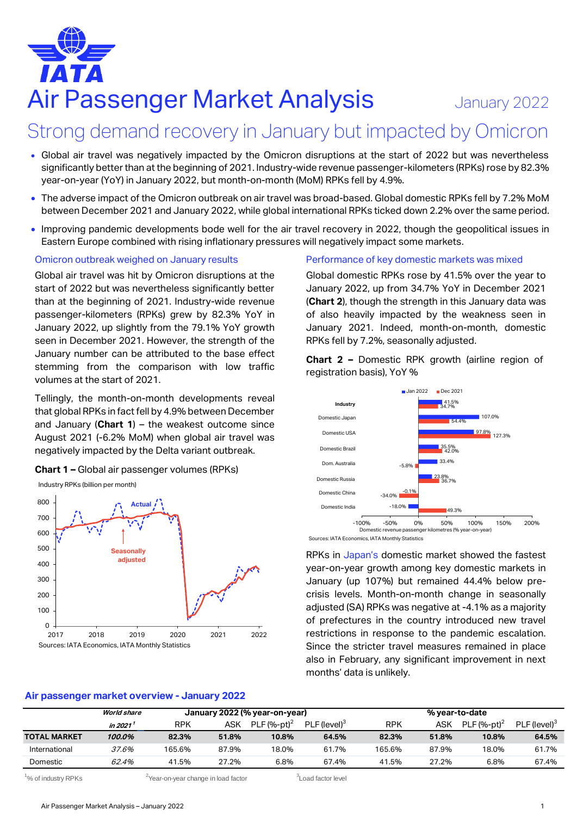# Air Passenger Market Analysis January 2022

# Strong demand recovery in January but impacted by Omicron

- Global air travel was negatively impacted by the Omicron disruptions at the start of 2022 but was nevertheless significantly better than at the beginning of 2021. Industry-wide revenue passenger-kilometers (RPKs) rose by 82.3% year-on-year (YoY) in January 2022, but month-on-month (MoM) RPKs fell by 4.9%.
- The adverse impact of the Omicron outbreak on air travel was broad-based. Global domestic RPKs fell by 7.2% MoM between December 2021 and January 2022, while global international RPKs ticked down 2.2% over the same period.
- Improving pandemic developments bode well for the air travel recovery in 2022, though the geopolitical issues in Eastern Europe combined with rising inflationary pressures will negatively impact some markets.

### Omicron outbreak weighed on January results

Global air travel was hit by Omicron disruptions at the start of 2022 but was nevertheless significantly better than at the beginning of 2021. Industry-wide revenue passenger-kilometers (RPKs) grew by 82.3% YoY in January 2022, up slightly from the 79.1% YoY growth seen in December 2021. However, the strength of the January number can be attributed to the base effect stemming from the comparison with low traffic volumes at the start of 2021.

Tellingly, the month-on-month developments reveal that global RPKs in fact fell by 4.9% between December and January (**Chart 1**) – the weakest outcome since August 2021 (-6.2% MoM) when global air travel was negatively impacted by the Delta variant outbreak.

**Chart 1 –** Global air passenger volumes (RPKs)



### **Air passenger market overview - January 2022**

### Performance of key domestic markets was mixed

Global domestic RPKs rose by 41.5% over the year to January 2022, up from 34.7% YoY in December 2021 (**Chart 2**), though the strength in this January data was of also heavily impacted by the weakness seen in January 2021. Indeed, month-on-month, domestic RPKs fell by 7.2%, seasonally adjusted.

**Chart 2 –** Domestic RPK growth (airline region of registration basis), YoY %



Sources: IATA Economics, IATA Monthly Statistics

RPKs in Japan's domestic market showed the fastest year-on-year growth among key domestic markets in January (up 107%) but remained 44.4% below precrisis levels. Month-on-month change in seasonally adjusted (SA) RPKs was negative at -4.1% as a majority of prefectures in the country introduced new travel restrictions in response to the pandemic escalation. Since the stricter travel measures remained in place also in February, any significant improvement in next months' data is unlikely.

|                     | <b>World share</b> | January 2022 (% year-on-year) |       |                |                          | % year-to-date |       |                |                            |
|---------------------|--------------------|-------------------------------|-------|----------------|--------------------------|----------------|-------|----------------|----------------------------|
|                     | in 2021            | <b>RPK</b>                    | ASK   | PLF $(%-pt)^2$ | PLF (level) <sup>3</sup> | <b>RPK</b>     | ASK   | PLF $(%-pt)^2$ | $PLF$ (level) <sup>3</sup> |
| <b>TOTAL MARKET</b> | 100.0%             | 82.3%                         | 51.8% | 10.8%          | 64.5%                    | 82.3%          | 51.8% | 10.8%          | 64.5%                      |
| International       | <i>37.6%</i>       | 165.6%                        | 87.9% | 18.0%          | 61.7%                    | 165.6%         | 87.9% | 18.0%          | 61.7%                      |
| Domestic            | 62.4%              | 41.5%                         | 27.2% | 6.8%           | 67.4%                    | 41.5%          | 27.2% | 6.8%           | 67.4%                      |

 $1\%$  of industry RPKs  $2\%$  2Year-on-year change in load factor

<sup>3</sup> Load factor level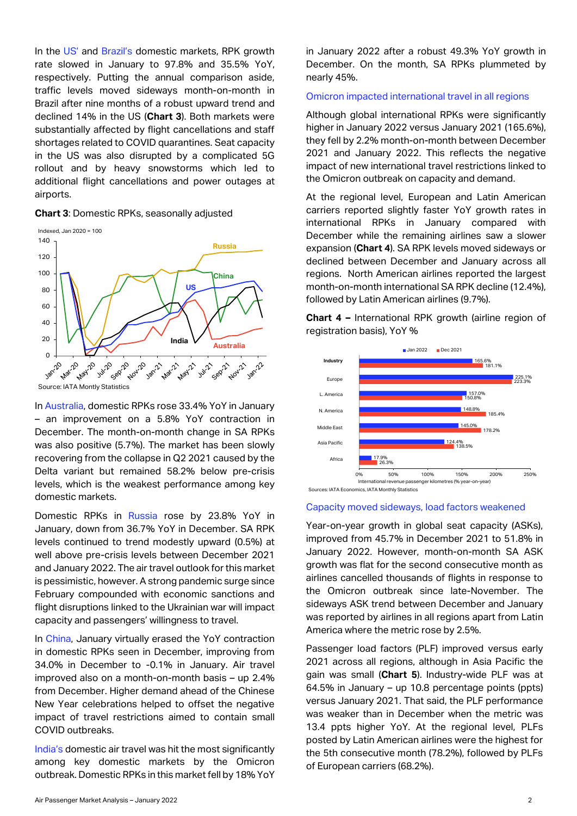In the US' and Brazil's domestic markets, RPK growth rate slowed in January to 97.8% and 35.5% YoY, respectively. Putting the annual comparison aside, traffic levels moved sideways month-on-month in Brazil after nine months of a robust upward trend and declined 14% in the US (**Chart 3**). Both markets were substantially affected by flight cancellations and staff shortages related to COVID quarantines. Seat capacity in the US was also disrupted by a complicated 5G rollout and by heavy snowstorms which led to additional flight cancellations and power outages at airports.





In Australia, domestic RPKs rose 33.4% YoY in January – an improvement on a 5.8% YoY contraction in December. The month-on-month change in SA RPKs was also positive (5.7%). The market has been slowly recovering from the collapse in Q2 2021 caused by the Delta variant but remained 58.2% below pre-crisis levels, which is the weakest performance among key domestic markets.

Domestic RPKs in Russia rose by 23.8% YoY in January, down from 36.7% YoY in December. SA RPK levels continued to trend modestly upward (0.5%) at well above pre-crisis levels between December 2021 and January 2022. The air travel outlook for this market is pessimistic, however. A strong pandemic surge since February compounded with economic sanctions and flight disruptions linked to the Ukrainian war will impact capacity and passengers' willingness to travel.

In China, January virtually erased the YoY contraction in domestic RPKs seen in December, improving from 34.0% in December to -0.1% in January. Air travel improved also on a month-on-month basis – up 2.4% from December. Higher demand ahead of the Chinese New Year celebrations helped to offset the negative impact of travel restrictions aimed to contain small COVID outbreaks.

India's domestic air travel was hit the most significantly among key domestic markets by the Omicron outbreak. Domestic RPKs in this market fell by 18% YoY in January 2022 after a robust 49.3% YoY growth in December. On the month, SA RPKs plummeted by nearly 45%.

### Omicron impacted international travel in all regions

Although global international RPKs were significantly higher in January 2022 versus January 2021 (165.6%), they fell by 2.2% month-on-month between December 2021 and January 2022. This reflects the negative impact of new international travel restrictions linked to the Omicron outbreak on capacity and demand.

At the regional level, European and Latin American carriers reported slightly faster YoY growth rates in international RPKs in January compared with December while the remaining airlines saw a slower expansion (**Chart 4**). SA RPK levels moved sideways or declined between December and January across all regions. North American airlines reported the largest month-on-month international SA RPK decline (12.4%), followed by Latin American airlines (9.7%).

**Chart 4 –** International RPK growth (airline region of registration basis), YoY %



### Capacity moved sideways, load factors weakened

Year-on-year growth in global seat capacity (ASKs), improved from 45.7% in December 2021 to 51.8% in January 2022. However, month-on-month SA ASK growth was flat for the second consecutive month as airlines cancelled thousands of flights in response to the Omicron outbreak since late-November. The sideways ASK trend between December and January was reported by airlines in all regions apart from Latin America where the metric rose by 2.5%.

Passenger load factors (PLF) improved versus early 2021 across all regions, although in Asia Pacific the gain was small (**Chart 5**). Industry-wide PLF was at 64.5% in January – up 10.8 percentage points (ppts) versus January 2021. That said, the PLF performance was weaker than in December when the metric was 13.4 ppts higher YoY. At the regional level, PLFs posted by Latin American airlines were the highest for the 5th consecutive month (78.2%), followed by PLFs of European carriers (68.2%).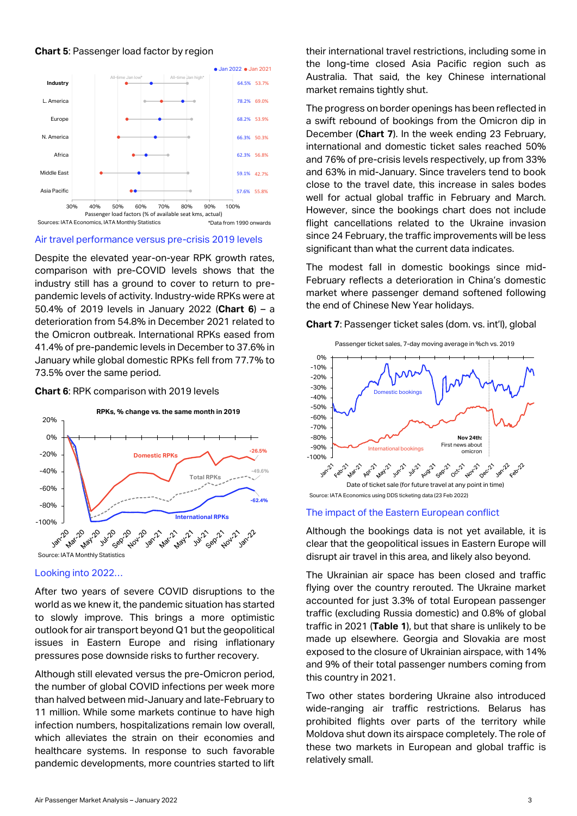### **Chart 5**: Passenger load factor by region



### Air travel performance versus pre-crisis 2019 levels

Despite the elevated year-on-year RPK growth rates, comparison with pre-COVID levels shows that the industry still has a ground to cover to return to prepandemic levels of activity. Industry-wide RPKs were at 50.4% of 2019 levels in January 2022 (**Chart 6**) – a deterioration from 54.8% in December 2021 related to the Omicron outbreak. International RPKs eased from 41.4% of pre-pandemic levels in December to 37.6% in January while global domestic RPKs fell from 77.7% to 73.5% over the same period.

### **Chart 6**: RPK comparison with 2019 levels



### Looking into 2022…

After two years of severe COVID disruptions to the world as we knew it, the pandemic situation has started to slowly improve. This brings a more optimistic outlook for air transport beyond Q1 but the geopolitical issues in Eastern Europe and rising inflationary pressures pose downside risks to further recovery.

Although still elevated versus the pre-Omicron period, the number of global COVID infections per week more than halved between mid-January and late-February to 11 million. While some markets continue to have high infection numbers, hospitalizations remain low overall, which alleviates the strain on their economies and healthcare systems. In response to such favorable pandemic developments, more countries started to lift

their international travel restrictions, including some in the long-time closed Asia Pacific region such as Australia. That said, the key Chinese international market remains tightly shut.

The progress on border openings has been reflected in a swift rebound of bookings from the Omicron dip in December (**Chart 7**). In the week ending 23 February, international and domestic ticket sales reached 50% and 76% of pre-crisis levels respectively, up from 33% and 63% in mid-January. Since travelers tend to book close to the travel date, this increase in sales bodes well for actual global traffic in February and March. However, since the bookings chart does not include flight cancellations related to the Ukraine invasion since 24 February, the traffic improvements will be less significant than what the current data indicates.

The modest fall in domestic bookings since mid-February reflects a deterioration in China's domestic market where passenger demand softened following the end of Chinese New Year holidays.

**Chart 7**: Passenger ticket sales (dom. vs. int'l), global



### The impact of the Eastern European conflict

Although the bookings data is not yet available, it is clear that the geopolitical issues in Eastern Europe will disrupt air travel in this area, and likely also beyond.

The Ukrainian air space has been closed and traffic flying over the country rerouted. The Ukraine market accounted for just 3.3% of total European passenger traffic (excluding Russia domestic) and 0.8% of global traffic in 2021 (**Table 1**), but that share is unlikely to be made up elsewhere. Georgia and Slovakia are most exposed to the closure of Ukrainian airspace, with 14% and 9% of their total passenger numbers coming from this country in 2021.

Two other states bordering Ukraine also introduced wide-ranging air traffic restrictions. Belarus has prohibited flights over parts of the territory while Moldova shut down its airspace completely. The role of these two markets in European and global traffic is relatively small.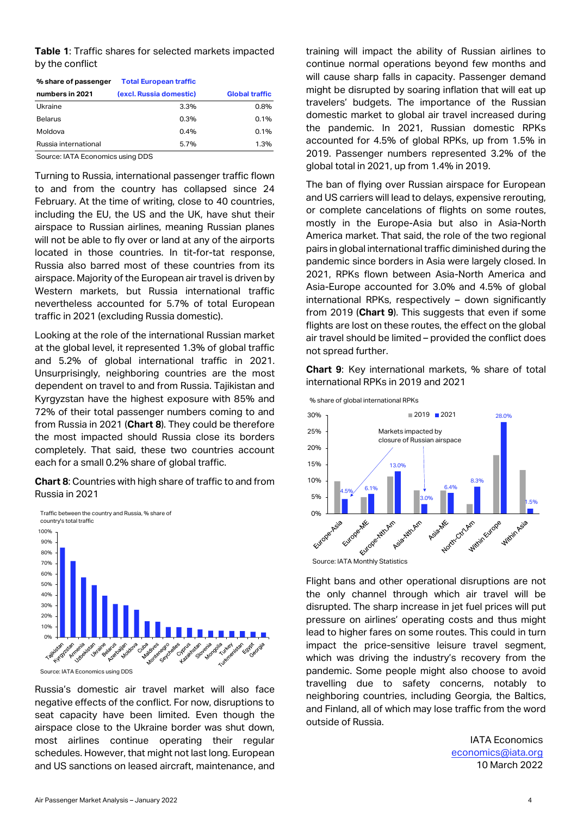**Table 1**: Traffic shares for selected markets impacted by the conflict

| % share of passenger | <b>Total European traffic</b> |                       |
|----------------------|-------------------------------|-----------------------|
| numbers in 2021      | (excl. Russia domestic)       | <b>Global traffic</b> |
| Ukraine              | 3.3%                          | 0.8%                  |
| <b>Belarus</b>       | 0.3%                          | 0.1%                  |
| Moldova              | 0.4%                          | 0.1%                  |
| Russia international | 5.7%                          | 1.3%                  |

Source: IATA Economics using DDS

Turning to Russia, international passenger traffic flown to and from the country has collapsed since 24 February. At the time of writing, close to 40 countries, including the EU, the US and the UK, have shut their airspace to Russian airlines, meaning Russian planes will not be able to fly over or land at any of the airports located in those countries. In tit-for-tat response, Russia also barred most of these countries from its airspace. Majority of the European air travel is driven by Western markets, but Russia international traffic nevertheless accounted for 5.7% of total European traffic in 2021 (excluding Russia domestic).

Looking at the role of the international Russian market at the global level, it represented 1.3% of global traffic and 5.2% of global international traffic in 2021. Unsurprisingly, neighboring countries are the most dependent on travel to and from Russia. Tajikistan and Kyrgyzstan have the highest exposure with 85% and 72% of their total passenger numbers coming to and from Russia in 2021 (**Chart 8**). They could be therefore the most impacted should Russia close its borders completely. That said, these two countries account each for a small 0.2% share of global traffic.

**Chart 8**: Countries with high share of traffic to and from Russia in 2021



Source: IATA Economics using DDS

Russia's domestic air travel market will also face negative effects of the conflict. For now, disruptions to seat capacity have been limited. Even though the airspace close to the Ukraine border was shut down, most airlines continue operating their regular schedules. However, that might not last long. European and US sanctions on leased aircraft, maintenance, and training will impact the ability of Russian airlines to continue normal operations beyond few months and will cause sharp falls in capacity. Passenger demand might be disrupted by soaring inflation that will eat up travelers' budgets. The importance of the Russian domestic market to global air travel increased during the pandemic. In 2021, Russian domestic RPKs accounted for 4.5% of global RPKs, up from 1.5% in 2019. Passenger numbers represented 3.2% of the global total in 2021, up from 1.4% in 2019.

The ban of flying over Russian airspace for European and US carriers will lead to delays, expensive rerouting, or complete cancelations of flights on some routes, mostly in the Europe-Asia but also in Asia-North America market. That said, the role of the two regional pairs in global international traffic diminished during the pandemic since borders in Asia were largely closed. In 2021, RPKs flown between Asia-North America and Asia-Europe accounted for 3.0% and 4.5% of global international RPKs, respectively – down significantly from 2019 (**Chart 9**). This suggests that even if some flights are lost on these routes, the effect on the global air travel should be limited – provided the conflict does not spread further.

**Chart 9**: Key international markets, % share of total international RPKs in 2019 and 2021



Flight bans and other operational disruptions are not the only channel through which air travel will be disrupted. The sharp increase in jet fuel prices will put pressure on airlines' operating costs and thus might lead to higher fares on some routes. This could in turn impact the price-sensitive leisure travel segment, which was driving the industry's recovery from the pandemic. Some people might also choose to avoid travelling due to safety concerns, notably to neighboring countries, including Georgia, the Baltics, and Finland, all of which may lose traffic from the word outside of Russia.

> IATA Economics [economics@iata.org](mailto:economics@iata.org) 10 March 2022